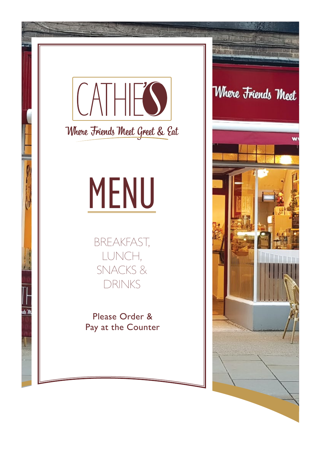

Where Friends Meet Greet & Eat

# MENU

BREAKFAST, LUNCH, SNACKS & DRINKS

Please Order & Pay at the Counter

### Where Friends Meet

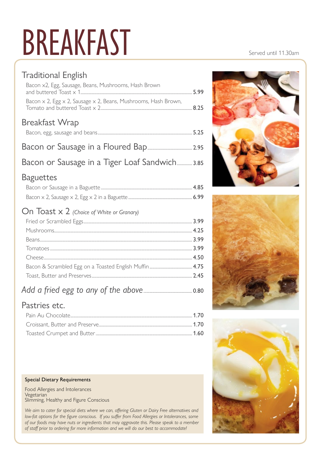### BREAKFAST Served until 11.30am

### Traditional English

| Bacon x2, Egg, Sausage, Beans, Mushrooms, Hash Brown<br>and buttered $\text{Toast} \times 1$ | 599  |
|----------------------------------------------------------------------------------------------|------|
| Bacon $\times$ 2, Egg $\times$ 2, Sausage $\times$ 2, Beans, Mushrooms, Hash Brown,          | 825  |
| Breakfast Wrap                                                                               |      |
|                                                                                              | 5 つち |

Bacon or Sausage in a Tiger Loaf Sandwich............... 3.85

### Baguettes

### On Toast x 2 *(Choice of White or Granary)*

### *Add a fried egg to any of the above*................................................ 0.80

### Pastries etc.

#### Special Dietary Requirements

Food Allergies and Intolerances Vegetarian Slimming, Healthy and Figure Conscious

*We aim to cater for special diets where we can, offering Gluten or Dairy Free alternatives and low-fat options for the figure conscious.* If you suffer from Food Allergies or Intolerances, some *of our foods may have nuts or ingredients that may aggravate this. Please speak to a member of staff prior to ordering for more information and we will do our best to accommodate!*





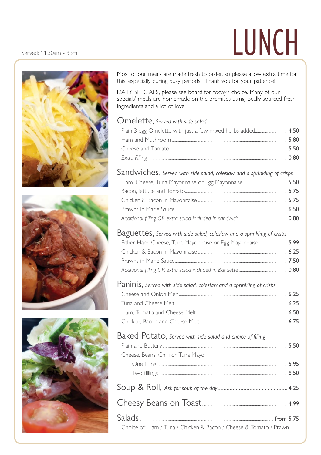## $S$ erved: 11.30am - 3pm  $\blacksquare$







Most of our meals are made fresh to order, so please allow extra time for this, especially during busy periods. Thank you for your patience!

DAILY SPECIALS, please see board for today's choice. Many of our specials' meals are homemade on the premises using locally sourced fresh ingredients and a lot of love!

#### Omelette, *Served with side salad*

### Sandwiches, *Served with side salad, coleslaw and a sprinkling of crisps*

#### Baguettes, *Served with side salad, coleslaw and a sprinkling of crisps*

| Either Ham, Cheese, Tuna Mayonnaise or Egg Mayonnaise 5.99 |  |
|------------------------------------------------------------|--|
|                                                            |  |
|                                                            |  |
|                                                            |  |

### Paninis, *Served with side salad, coleslaw and a sprinkling of crisps*

### Baked Potato, *Served with side salad and choice of filling*

|                                    | 550 |
|------------------------------------|-----|
| Cheese, Beans, Chilli or Tuna Mayo |     |
|                                    |     |
|                                    |     |
|                                    |     |

Choice of: Ham / Tuna / Chicken & Bacon / Cheese & Tomato / Prawn